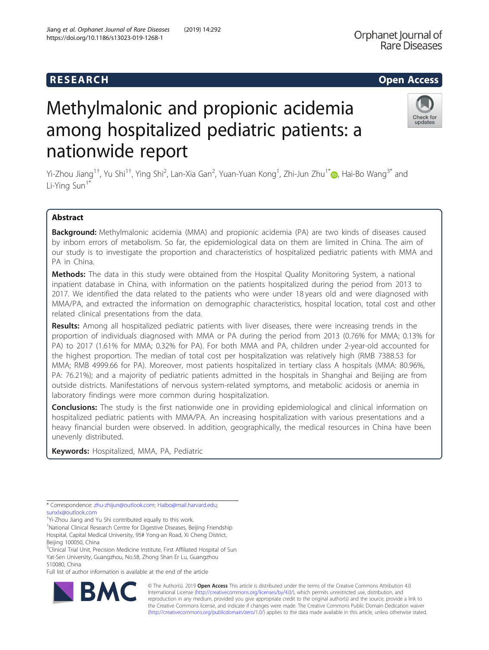## **RESEARCH RESEARCH CONSUMING ACCESS**

# Check for updates

# Methylmalonic and propionic acidemia among hospitalized pediatric patients: a nationwide report

Yi-Zhou Jiang<sup>1†</sup>[,](http://orcid.org/0000-0001-7031-2083) Yu Shi<sup>1†</sup>, Ying Shi<sup>2</sup>, Lan-Xia Gan<sup>2</sup>, Yuan-Yuan Kong<sup>1</sup>, Zhi-Jun Zhu<sup>1\*</sup>⑩, Hai-Bo Wang<sup>3\*</sup> and Li-Ying Sun<sup>1\*</sup>

### Abstract

Background: Methylmalonic acidemia (MMA) and propionic acidemia (PA) are two kinds of diseases caused by inborn errors of metabolism. So far, the epidemiological data on them are limited in China. The aim of our study is to investigate the proportion and characteristics of hospitalized pediatric patients with MMA and PA in China.

**Methods:** The data in this study were obtained from the Hospital Quality Monitoring System, a national inpatient database in China, with information on the patients hospitalized during the period from 2013 to 2017. We identified the data related to the patients who were under 18 years old and were diagnosed with MMA/PA, and extracted the information on demographic characteristics, hospital location, total cost and other related clinical presentations from the data.

Results: Among all hospitalized pediatric patients with liver diseases, there were increasing trends in the proportion of individuals diagnosed with MMA or PA during the period from 2013 (0.76% for MMA; 0.13% for PA) to 2017 (1.61% for MMA; 0.32% for PA). For both MMA and PA, children under 2-year-old accounted for the highest proportion. The median of total cost per hospitalization was relatively high (RMB 7388.53 for MMA; RMB 4999.66 for PA). Moreover, most patients hospitalized in tertiary class A hospitals (MMA: 80.96%, PA: 76.21%); and a majority of pediatric patients admitted in the hospitals in Shanghai and Beijing are from outside districts. Manifestations of nervous system-related symptoms, and metabolic acidosis or anemia in laboratory findings were more common during hospitalization.

**Conclusions:** The study is the first nationwide one in providing epidemiological and clinical information on hospitalized pediatric patients with MMA/PA. An increasing hospitalization with various presentations and a heavy financial burden were observed. In addition, geographically, the medical resources in China have been unevenly distributed.

Keywords: Hospitalized, MMA, PA, Pediatric

† Yi-Zhou Jiang and Yu Shi contributed equally to this work.

<sup>1</sup>National Clinical Research Centre for Digestive Diseases, Beijing Friendship Hospital, Capital Medical University, 95# Yong-an Road, Xi Cheng District, Beijing 100050, China

<sup>3</sup>Clinical Trial Unit, Precision Medicine Institute, First Affiliated Hospital of Sun Yat-Sen University, Guangzhou, No.58, Zhong Shan Er Lu, Guangzhou 510080, China

Full list of author information is available at the end of the article



© The Author(s). 2019 **Open Access** This article is distributed under the terms of the Creative Commons Attribution 4.0 International License [\(http://creativecommons.org/licenses/by/4.0/](http://creativecommons.org/licenses/by/4.0/)), which permits unrestricted use, distribution, and reproduction in any medium, provided you give appropriate credit to the original author(s) and the source, provide a link to the Creative Commons license, and indicate if changes were made. The Creative Commons Public Domain Dedication waiver [\(http://creativecommons.org/publicdomain/zero/1.0/](http://creativecommons.org/publicdomain/zero/1.0/)) applies to the data made available in this article, unless otherwise stated.

<sup>\*</sup> Correspondence: [zhu-zhijun@outlook.com](mailto:zhu-zhijun@outlook.com); [Haibo@mail.harvard.edu](mailto:Haibo@mail.harvard.edu); [sunxlx@outlook.com](mailto:sunxlx@outlook.com)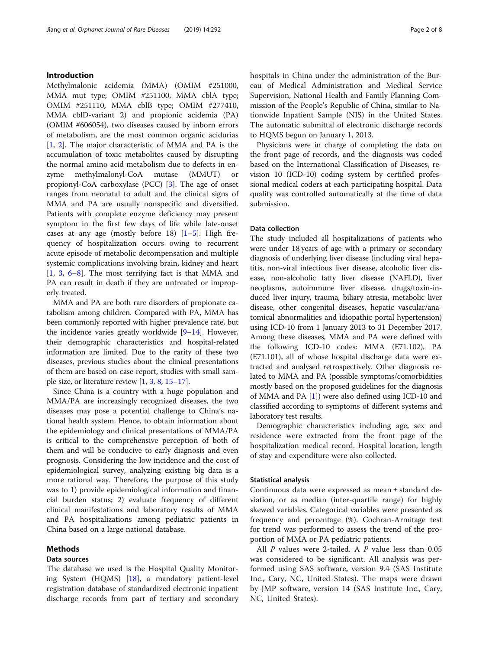#### Introduction

Methylmalonic acidemia (MMA) (OMIM #251000, MMA mut type; OMIM #251100, MMA cblA type; OMIM #251110, MMA cblB type; OMIM #277410, MMA cblD-variant 2) and propionic acidemia (PA) (OMIM #606054), two diseases caused by inborn errors of metabolism, are the most common organic acidurias [[1,](#page-6-0) [2\]](#page-6-0). The major characteristic of MMA and PA is the accumulation of toxic metabolites caused by disrupting the normal amino acid metabolism due to defects in enzyme methylmalonyl-CoA mutase (MMUT) or propionyl-CoA carboxylase (PCC) [\[3](#page-6-0)]. The age of onset ranges from neonatal to adult and the clinical signs of MMA and PA are usually nonspecific and diversified. Patients with complete enzyme deficiency may present symptom in the first few days of life while late-onset cases at any age (mostly before [1](#page-6-0)8)  $[1-5]$  $[1-5]$  $[1-5]$ . High frequency of hospitalization occurs owing to recurrent acute episode of metabolic decompensation and multiple systemic complications involving brain, kidney and heart [[1,](#page-6-0) [3](#page-6-0), [6](#page-6-0)–[8\]](#page-6-0). The most terrifying fact is that MMA and PA can result in death if they are untreated or improperly treated.

MMA and PA are both rare disorders of propionate catabolism among children. Compared with PA, MMA has been commonly reported with higher prevalence rate, but the incidence varies greatly worldwide [[9](#page-6-0)–[14](#page-6-0)]. However, their demographic characteristics and hospital-related information are limited. Due to the rarity of these two diseases, previous studies about the clinical presentations of them are based on case report, studies with small sample size, or literature review [[1](#page-6-0), [3,](#page-6-0) [8](#page-6-0), [15](#page-6-0)–[17](#page-6-0)].

Since China is a country with a huge population and MMA/PA are increasingly recognized diseases, the two diseases may pose a potential challenge to China's national health system. Hence, to obtain information about the epidemiology and clinical presentations of MMA/PA is critical to the comprehensive perception of both of them and will be conducive to early diagnosis and even prognosis. Considering the low incidence and the cost of epidemiological survey, analyzing existing big data is a more rational way. Therefore, the purpose of this study was to 1) provide epidemiological information and financial burden status; 2) evaluate frequency of different clinical manifestations and laboratory results of MMA and PA hospitalizations among pediatric patients in China based on a large national database.

#### Methods

#### Data sources

The database we used is the Hospital Quality Monitoring System (HQMS) [[18\]](#page-7-0), a mandatory patient-level registration database of standardized electronic inpatient discharge records from part of tertiary and secondary hospitals in China under the administration of the Bureau of Medical Administration and Medical Service Supervision, National Health and Family Planning Commission of the People's Republic of China, similar to Nationwide Inpatient Sample (NIS) in the United States. The automatic submittal of electronic discharge records to HQMS begun on January 1, 2013.

Physicians were in charge of completing the data on the front page of records, and the diagnosis was coded based on the International Classification of Diseases, revision 10 (ICD-10) coding system by certified professional medical coders at each participating hospital. Data quality was controlled automatically at the time of data submission.

#### Data collection

The study included all hospitalizations of patients who were under 18 years of age with a primary or secondary diagnosis of underlying liver disease (including viral hepatitis, non-viral infectious liver disease, alcoholic liver disease, non-alcoholic fatty liver disease (NAFLD), liver neoplasms, autoimmune liver disease, drugs/toxin-induced liver injury, trauma, biliary atresia, metabolic liver disease, other congenital diseases, hepatic vascular/anatomical abnormalities and idiopathic portal hypertension) using ICD-10 from 1 January 2013 to 31 December 2017. Among these diseases, MMA and PA were defined with the following ICD-10 codes: MMA (E71.102), PA (E71.101), all of whose hospital discharge data were extracted and analysed retrospectively. Other diagnosis related to MMA and PA (possible symptoms/comorbidities mostly based on the proposed guidelines for the diagnosis of MMA and PA [[1](#page-6-0)]) were also defined using ICD-10 and classified according to symptoms of different systems and laboratory test results.

Demographic characteristics including age, sex and residence were extracted from the front page of the hospitalization medical record. Hospital location, length of stay and expenditure were also collected.

#### Statistical analysis

Continuous data were expressed as mean ± standard deviation, or as median (inter-quartile range) for highly skewed variables. Categorical variables were presented as frequency and percentage (%). Cochran-Armitage test for trend was performed to assess the trend of the proportion of MMA or PA pediatric patients.

All P values were 2-tailed. A P value less than 0.05 was considered to be significant. All analysis was performed using SAS software, version 9.4 (SAS Institute Inc., Cary, NC, United States). The maps were drawn by JMP software, version 14 (SAS Institute Inc., Cary, NC, United States).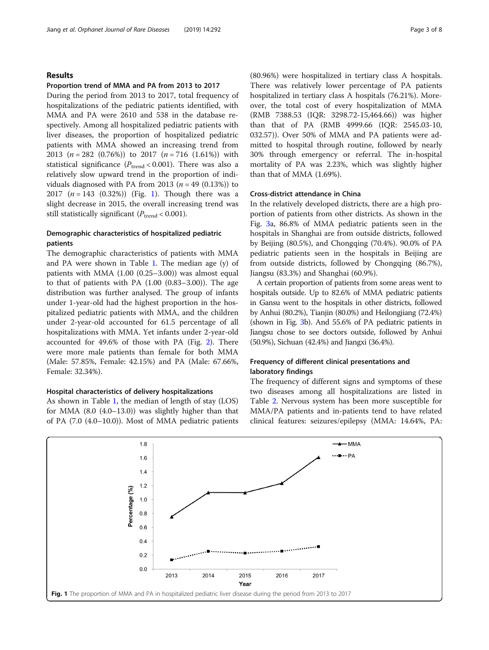#### Results

#### Proportion trend of MMA and PA from 2013 to 2017

During the period from 2013 to 2017, total frequency of hospitalizations of the pediatric patients identified, with MMA and PA were 2610 and 538 in the database respectively. Among all hospitalized pediatric patients with liver diseases, the proportion of hospitalized pediatric patients with MMA showed an increasing trend from 2013  $(n = 282 \ (0.76\%)$  to 2017  $(n = 716 \ (1.61\%)$  with statistical significance ( $P_{\text{trend}}$  < 0.001). There was also a relatively slow upward trend in the proportion of individuals diagnosed with PA from 2013 ( $n = 49$  (0.13%)) to 2017  $(n = 143 \ (0.32\%)$  (Fig. 1). Though there was a slight decrease in 2015, the overall increasing trend was still statistically significant ( $P_{\text{trend}}$  < 0.001).

#### Demographic characteristics of hospitalized pediatric patients

The demographic characteristics of patients with MMA and PA were shown in Table [1.](#page-3-0) The median age (y) of patients with MMA (1.00 (0.25–3.00)) was almost equal to that of patients with PA (1.00 (0.83–3.00)). The age distribution was further analysed. The group of infants under 1-year-old had the highest proportion in the hospitalized pediatric patients with MMA, and the children under 2-year-old accounted for 61.5 percentage of all hospitalizations with MMA. Yet infants under 2-year-old accounted for 49.6% of those with PA (Fig. [2\)](#page-3-0). There were more male patients than female for both MMA (Male: 57.85%, Female: 42.15%) and PA (Male: 67.66%, Female: 32.34%).

#### Hospital characteristics of delivery hospitalizations

As shown in Table [1](#page-3-0), the median of length of stay (LOS) for MMA (8.0 (4.0–13.0)) was slightly higher than that of PA (7.0 (4.0–10.0)). Most of MMA pediatric patients (80.96%) were hospitalized in tertiary class A hospitals. There was relatively lower percentage of PA patients hospitalized in tertiary class A hospitals (76.21%). Moreover, the total cost of every hospitalization of MMA (RMB 7388.53 (IQR: 3298.72-15,464.66)) was higher than that of PA (RMB 4999.66 (IQR: 2545.03-10, 032.57)). Over 50% of MMA and PA patients were admitted to hospital through routine, followed by nearly 30% through emergency or referral. The in-hospital mortality of PA was 2.23%, which was slightly higher than that of MMA (1.69%).

#### Cross-district attendance in China

In the relatively developed districts, there are a high proportion of patients from other districts. As shown in the Fig. [3](#page-4-0)a, 86.8% of MMA pediatric patients seen in the hospitals in Shanghai are from outside districts, followed by Beijing (80.5%), and Chongqing (70.4%). 90.0% of PA pediatric patients seen in the hospitals in Beijing are from outside districts, followed by Chongqing (86.7%), Jiangsu (83.3%) and Shanghai (60.9%).

A certain proportion of patients from some areas went to hospitals outside. Up to 82.6% of MMA pediatric patients in Gansu went to the hospitals in other districts, followed by Anhui (80.2%), Tianjin (80.0%) and Heilongjiang (72.4%) (shown in Fig. [3b](#page-4-0)). And 55.6% of PA pediatric patients in Jiangsu chose to see doctors outside, followed by Anhui (50.9%), Sichuan (42.4%) and Jiangxi (36.4%).

#### Frequency of different clinical presentations and laboratory findings

The frequency of different signs and symptoms of these two diseases among all hospitalizations are listed in Table [2.](#page-5-0) Nervous system has been more susceptible for MMA/PA patients and in-patients tend to have related clinical features: seizures/epilepsy (MMA: 14.64%, PA:

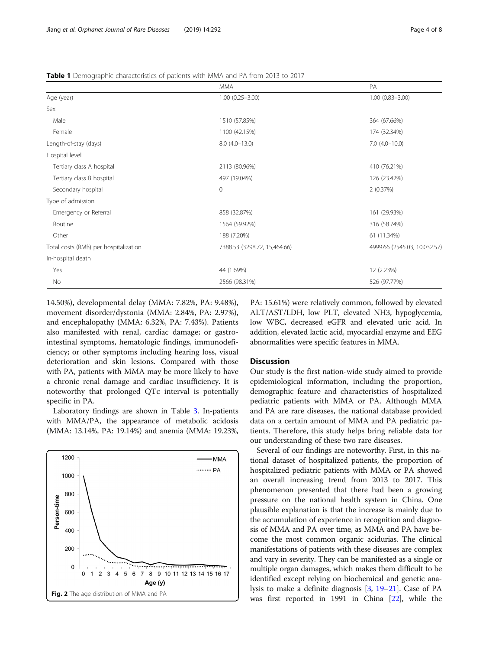<span id="page-3-0"></span>

|                                       | <b>MMA</b>                   | PA                           |
|---------------------------------------|------------------------------|------------------------------|
| Age (year)                            | $1.00(0.25 - 3.00)$          | $1.00(0.83 - 3.00)$          |
| Sex                                   |                              |                              |
| Male                                  | 1510 (57.85%)                | 364 (67.66%)                 |
| Female                                | 1100 (42.15%)                | 174 (32.34%)                 |
| Length-of-stay (days)                 | $8.0(4.0-13.0)$              | $7.0(4.0-10.0)$              |
| Hospital level                        |                              |                              |
| Tertiary class A hospital             | 2113 (80.96%)                | 410 (76.21%)                 |
| Tertiary class B hospital             | 497 (19.04%)                 | 126 (23.42%)                 |
| Secondary hospital                    | $\overline{0}$               | 2(0.37%)                     |
| Type of admission                     |                              |                              |
| Emergency or Referral                 | 858 (32.87%)                 | 161 (29.93%)                 |
| Routine                               | 1564 (59.92%)                | 316 (58.74%)                 |
| Other                                 | 188 (7.20%)                  | 61 (11.34%)                  |
| Total costs (RMB) per hospitalization | 7388.53 (3298.72, 15,464.66) | 4999.66 (2545.03, 10,032.57) |
| In-hospital death                     |                              |                              |
| Yes                                   | 44 (1.69%)                   | 12 (2.23%)                   |
| No                                    | 2566 (98.31%)                | 526 (97.77%)                 |

14.50%), developmental delay (MMA: 7.82%, PA: 9.48%), movement disorder/dystonia (MMA: 2.84%, PA: 2.97%), and encephalopathy (MMA: 6.32%, PA: 7.43%). Patients also manifested with renal, cardiac damage; or gastrointestinal symptoms, hematologic findings, immunodeficiency; or other symptoms including hearing loss, visual deterioration and skin lesions. Compared with those with PA, patients with MMA may be more likely to have a chronic renal damage and cardiac insufficiency. It is noteworthy that prolonged QTc interval is potentially specific in PA.

Laboratory findings are shown in Table [3](#page-5-0). In-patients with MMA/PA, the appearance of metabolic acidosis (MMA: 13.14%, PA: 19.14%) and anemia (MMA: 19.23%,



PA: 15.61%) were relatively common, followed by elevated ALT/AST/LDH, low PLT, elevated NH3, hypoglycemia, low WBC, decreased eGFR and elevated uric acid. In addition, elevated lactic acid, myocardial enzyme and EEG abnormalities were specific features in MMA.

#### **Discussion**

Our study is the first nation-wide study aimed to provide epidemiological information, including the proportion, demographic feature and characteristics of hospitalized pediatric patients with MMA or PA. Although MMA and PA are rare diseases, the national database provided data on a certain amount of MMA and PA pediatric patients. Therefore, this study helps bring reliable data for our understanding of these two rare diseases.

Several of our findings are noteworthy. First, in this national dataset of hospitalized patients, the proportion of hospitalized pediatric patients with MMA or PA showed an overall increasing trend from 2013 to 2017. This phenomenon presented that there had been a growing pressure on the national health system in China. One plausible explanation is that the increase is mainly due to the accumulation of experience in recognition and diagnosis of MMA and PA over time, as MMA and PA have become the most common organic acidurias. The clinical manifestations of patients with these diseases are complex and vary in severity. They can be manifested as a single or multiple organ damages, which makes them difficult to be identified except relying on biochemical and genetic analysis to make a definite diagnosis [\[3](#page-6-0), [19](#page-7-0)–[21](#page-7-0)]. Case of PA was first reported in 1991 in China [[22](#page-7-0)], while the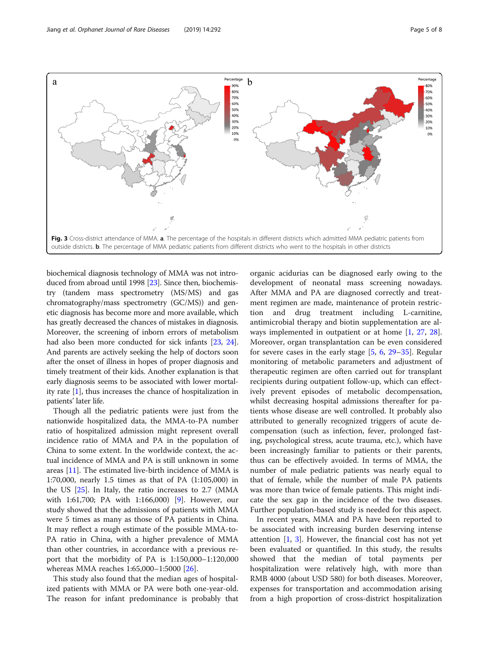<span id="page-4-0"></span>

biochemical diagnosis technology of MMA was not introduced from abroad until 1998 [\[23\]](#page-7-0). Since then, biochemistry (tandem mass spectrometry (MS/MS) and gas chromatography/mass spectrometry (GC/MS)) and genetic diagnosis has become more and more available, which has greatly decreased the chances of mistakes in diagnosis. Moreover, the screening of inborn errors of metabolism had also been more conducted for sick infants [[23](#page-7-0), [24](#page-7-0)]. And parents are actively seeking the help of doctors soon after the onset of illness in hopes of proper diagnosis and timely treatment of their kids. Another explanation is that early diagnosis seems to be associated with lower mortality rate [\[1\]](#page-6-0), thus increases the chance of hospitalization in patients' later life.

Though all the pediatric patients were just from the nationwide hospitalized data, the MMA-to-PA number ratio of hospitalized admission might represent overall incidence ratio of MMA and PA in the population of China to some extent. In the worldwide context, the actual incidence of MMA and PA is still unknown in some areas [[11](#page-6-0)]. The estimated live-birth incidence of MMA is 1:70,000, nearly 1.5 times as that of PA (1:105,000) in the US [[25\]](#page-7-0). In Italy, the ratio increases to 2.7 (MMA with 1:61,700; PA with 1:166,000) [[9\]](#page-6-0). However, our study showed that the admissions of patients with MMA were 5 times as many as those of PA patients in China. It may reflect a rough estimate of the possible MMA-to-PA ratio in China, with a higher prevalence of MMA than other countries, in accordance with a previous report that the morbidity of PA is 1:150,000–1:120,000 whereas MMA reaches 1:65,000–1:5000 [\[26](#page-7-0)].

This study also found that the median ages of hospitalized patients with MMA or PA were both one-year-old. The reason for infant predominance is probably that

organic acidurias can be diagnosed early owing to the development of neonatal mass screening nowadays. After MMA and PA are diagnosed correctly and treatment regimen are made, maintenance of protein restriction and drug treatment including L-carnitine, antimicrobial therapy and biotin supplementation are always implemented in outpatient or at home [[1,](#page-6-0) [27](#page-7-0), [28](#page-7-0)]. Moreover, organ transplantation can be even considered for severe cases in the early stage  $[5, 6, 29-35]$  $[5, 6, 29-35]$  $[5, 6, 29-35]$  $[5, 6, 29-35]$  $[5, 6, 29-35]$  $[5, 6, 29-35]$  $[5, 6, 29-35]$  $[5, 6, 29-35]$ . Regular monitoring of metabolic parameters and adjustment of therapeutic regimen are often carried out for transplant recipients during outpatient follow-up, which can effectively prevent episodes of metabolic decompensation, whilst decreasing hospital admissions thereafter for patients whose disease are well controlled. It probably also attributed to generally recognized triggers of acute decompensation (such as infection, fever, prolonged fasting, psychological stress, acute trauma, etc.), which have been increasingly familiar to patients or their parents, thus can be effectively avoided. In terms of MMA, the number of male pediatric patients was nearly equal to that of female, while the number of male PA patients was more than twice of female patients. This might indicate the sex gap in the incidence of the two diseases. Further population-based study is needed for this aspect.

In recent years, MMA and PA have been reported to be associated with increasing burden deserving intense attention [[1](#page-6-0), [3](#page-6-0)]. However, the financial cost has not yet been evaluated or quantified. In this study, the results showed that the median of total payments per hospitalization were relatively high, with more than RMB 4000 (about USD 580) for both diseases. Moreover, expenses for transportation and accommodation arising from a high proportion of cross-district hospitalization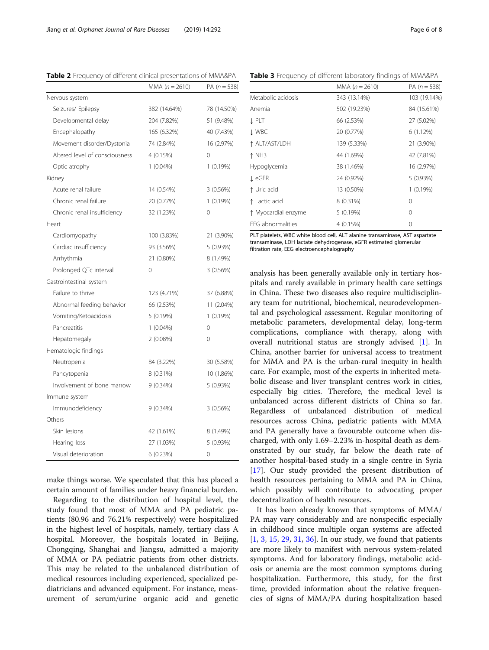|                                | MMA $(n = 2610)$ | PA $(n = 538)$ |
|--------------------------------|------------------|----------------|
| Nervous system                 |                  |                |
| Seizures/ Epilepsy             | 382 (14.64%)     | 78 (14.50%)    |
| Developmental delay            | 204 (7.82%)      | 51 (9.48%)     |
| Encephalopathy                 | 165 (6.32%)      | 40 (7.43%)     |
| Movement disorder/Dystonia     | 74 (2.84%)       | 16 (2.97%)     |
| Altered level of consciousness | 4 (0.15%)        | $\Omega$       |
| Optic atrophy                  | $1(0.04\%)$      | 1(0.19%)       |
| Kidney                         |                  |                |
| Acute renal failure            | 14 (0.54%)       | 3(0.56%)       |
| Chronic renal failure          | 20 (0.77%)       | 1(0.19%)       |
| Chronic renal insufficiency    | 32 (1.23%)       | 0              |
| Heart                          |                  |                |
| Cardiomyopathy                 | 100 (3.83%)      | 21 (3.90%)     |
| Cardiac insufficiency          | 93 (3.56%)       | 5 (0.93%)      |
| Arrhythmia                     | 21 (0.80%)       | 8 (1.49%)      |
| Prolonged QTc interval         | $\Omega$         | 3 (0.56%)      |
| Gastrointestinal system        |                  |                |
| Failure to thrive              | 123 (4.71%)      | 37 (6.88%)     |
| Abnormal feeding behavior      | 66 (2.53%)       | 11 (2.04%)     |
| Vomiting/Ketoacidosis          | 5 (0.19%)        | $1(0.19\%)$    |
| Pancreatitis                   | $1(0.04\%)$      | 0              |
| Hepatomegaly                   | 2(0.08%)         | $\Omega$       |
| Hematologic findings           |                  |                |
| Neutropenia                    | 84 (3.22%)       | 30 (5.58%)     |
| Pancytopenia                   | 8 (0.31%)        | 10 (1.86%)     |
| Involvement of bone marrow     | 9 (0.34%)        | 5 (0.93%)      |
| Immune system                  |                  |                |
| Immunodeficiency               | 9 (0.34%)        | 3(0.56%)       |
| Others                         |                  |                |
| Skin lesions                   | 42 (1.61%)       | 8 (1.49%)      |
| Hearing loss                   | 27 (1.03%)       | 5(0.93%)       |
| Visual deterioration           | 6(0.23%)         | 0              |

<span id="page-5-0"></span>Table 2 Frequency of different clinical presentations of MMA&PA

make things worse. We speculated that this has placed a certain amount of families under heavy financial burden.

Regarding to the distribution of hospital level, the study found that most of MMA and PA pediatric patients (80.96 and 76.21% respectively) were hospitalized in the highest level of hospitals, namely, tertiary class A hospital. Moreover, the hospitals located in Beijing, Chongqing, Shanghai and Jiangsu, admitted a majority of MMA or PA pediatric patients from other districts. This may be related to the unbalanced distribution of medical resources including experienced, specialized pediatricians and advanced equipment. For instance, measurement of serum/urine organic acid and genetic

Table 3 Frequency of different laboratory findings of MMA&PA

|                     | MMA $(n = 2610)$ | PA $(n = 538)$ |
|---------------------|------------------|----------------|
| Metabolic acidosis  | 343 (13.14%)     | 103 (19.14%)   |
| Anemia              | 502 (19.23%)     | 84 (15.61%)    |
| J. PLT              | 66 (2.53%)       | 27 (5.02%)     |
| <b>J</b> WBC        | 20 (0.77%)       | 6(1.12%)       |
| ↑ ALT/AST/LDH       | 139 (5.33%)      | 21 (3.90%)     |
| 1 NH3               | 44 (1.69%)       | 42 (7.81%)     |
| Hypoglycemia        | 38 (1.46%)       | 16 (2.97%)     |
| t eGFR              | 24 (0.92%)       | 5(0.93%)       |
| ↑ Uric acid         | 13 (0.50%)       | 1(0.19%)       |
| ↑ Lactic acid       | $8(0.31\%)$      | $\Omega$       |
| ↑ Myocardial enzyme | 5(0.19%)         | $\Omega$       |
| EEG abnormalities   | 4 (0.15%)        | 0              |

PLT platelets, WBC white blood cell, ALT alanine transaminase, AST aspartate transaminase, LDH lactate dehydrogenase, eGFR estimated glomerular filtration rate, EEG electroencephalography

analysis has been generally available only in tertiary hospitals and rarely available in primary health care settings in China. These two diseases also require multidisciplinary team for nutritional, biochemical, neurodevelopmental and psychological assessment. Regular monitoring of metabolic parameters, developmental delay, long-term complications, compliance with therapy, along with overall nutritional status are strongly advised [[1\]](#page-6-0). In China, another barrier for universal access to treatment for MMA and PA is the urban-rural inequity in health care. For example, most of the experts in inherited metabolic disease and liver transplant centres work in cities, especially big cities. Therefore, the medical level is unbalanced across different districts of China so far. Regardless of unbalanced distribution of medical resources across China, pediatric patients with MMA and PA generally have a favourable outcome when discharged, with only 1.69–2.23% in-hospital death as demonstrated by our study, far below the death rate of another hospital-based study in a single centre in Syria [[17\]](#page-6-0). Our study provided the present distribution of health resources pertaining to MMA and PA in China, which possibly will contribute to advocating proper decentralization of health resources.

It has been already known that symptoms of MMA/ PA may vary considerably and are nonspecific especially in childhood since multiple organ systems are affected [[1,](#page-6-0) [3,](#page-6-0) [15,](#page-6-0) [29,](#page-7-0) [31,](#page-7-0) [36](#page-7-0)]. In our study, we found that patients are more likely to manifest with nervous system-related symptoms. And for laboratory findings, metabolic acidosis or anemia are the most common symptoms during hospitalization. Furthermore, this study, for the first time, provided information about the relative frequencies of signs of MMA/PA during hospitalization based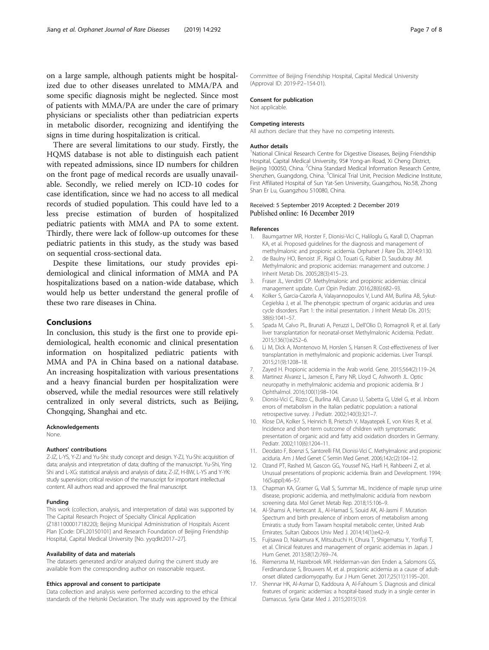<span id="page-6-0"></span>on a large sample, although patients might be hospitalized due to other diseases unrelated to MMA/PA and some specific diagnosis might be neglected. Since most of patients with MMA/PA are under the care of primary physicians or specialists other than pediatrician experts in metabolic disorder, recognizing and identifying the signs in time during hospitalization is critical.

There are several limitations to our study. Firstly, the HQMS database is not able to distinguish each patient with repeated admissions, since ID numbers for children on the front page of medical records are usually unavailable. Secondly, we relied merely on ICD-10 codes for case identification, since we had no access to all medical records of studied population. This could have led to a less precise estimation of burden of hospitalized pediatric patients with MMA and PA to some extent. Thirdly, there were lack of follow-up outcomes for these pediatric patients in this study, as the study was based on sequential cross-sectional data.

Despite these limitations, our study provides epidemiological and clinical information of MMA and PA hospitalizations based on a nation-wide database, which would help us better understand the general profile of these two rare diseases in China.

#### Conclusions

In conclusion, this study is the first one to provide epidemiological, health economic and clinical presentation information on hospitalized pediatric patients with MMA and PA in China based on a national database. An increasing hospitalization with various presentations and a heavy financial burden per hospitalization were observed, while the medial resources were still relatively centralized in only several districts, such as Beijing, Chongqing, Shanghai and etc.

#### Acknowledgements

None.

#### Authors' contributions

Z-JZ, L-YS, Y-ZJ and Yu-Shi: study concept and design. Y-ZJ, Yu-Shi: acquisition of data; analysis and interpretation of data; drafting of the manuscript. Yu-Shi, Ying Shi and L-XG: statistical analysis and analysis of data; Z-JZ, H-BW, L-YS and Y-YK: study supervision; critical revision of the manuscript for important intellectual content. All authors read and approved the final manuscript.

#### Funding

This work (collection, analysis, and interpretation of data) was supported by The Capital Research Project of Specialty Clinical Application (Z181100001718220); Beijing Municipal Administration of Hospitals Ascent Plan [Code: DFL20150101] and Research Foundation of Beijing Friendship Hospital, Capital Medical University [No. yyqdkt2017–27].

#### Availability of data and materials

The datasets generated and/or analyzed during the current study are available from the corresponding author on reasonable request.

#### Ethics approval and consent to participate

Data collection and analysis were performed according to the ethical standards of the Helsinki Declaration. The study was approved by the Ethical Committee of Beijing Friendship Hospital, Capital Medical University (Approval ID: 2019-P2–154-01).

#### Consent for publication

Not applicable.

#### Competing interests

All authors declare that they have no competing interests.

#### Author details

<sup>1</sup>National Clinical Research Centre for Digestive Diseases, Beijing Friendship Hospital, Capital Medical University, 95# Yong-an Road, Xi Cheng District, Beijing 100050, China. <sup>2</sup>China Standard Medical Information Research Centre, Shenzhen, Guangdong, China. <sup>3</sup>Clinical Trial Unit, Precision Medicine Institute First Affiliated Hospital of Sun Yat-Sen University, Guangzhou, No.58, Zhong Shan Er Lu, Guangzhou 510080, China.

# Received: 5 September 2019 Accepted: 2 December 2019

#### References

- 1. Baumgartner MR, Horster F, Dionisi-Vici C, Haliloglu G, Karall D, Chapman KA, et al. Proposed guidelines for the diagnosis and management of methylmalonic and propionic acidemia. Orphanet J Rare Dis. 2014;9:130.
- 2. de Baulny HO, Benoist JF, Rigal O, Touati G, Rabier D, Saudubray JM. Methylmalonic and propionic acidemias: management and outcome. J Inherit Metab Dis. 2005;28(3):415–23.
- 3. Fraser JL, Venditti CP. Methylmalonic and propionic acidemias: clinical management update. Curr Opin Pediatr. 2016;28(6):682–93.
- 4. Kolker S, Garcia-Cazorla A, Valayannopoulos V, Lund AM, Burlina AB, Sykut-Cegielska J, et al. The phenotypic spectrum of organic acidurias and urea cycle disorders. Part 1: the initial presentation. J Inherit Metab Dis. 2015; 38(6):1041–57.
- 5. Spada M, Calvo PL, Brunati A, Peruzzi L, Dell'Olio D, Romagnoli R, et al. Early liver transplantation for neonatal-onset Methylmalonic Acidemia. Pediatr. 2015;136(1):e252–6.
- 6. Li M, Dick A, Montenovo M, Horslen S, Hansen R. Cost-effectiveness of liver transplantation in methylmalonic and propionic acidemias. Liver Transpl. 2015;21(9):1208–18.
- 7. Zayed H. Propionic acidemia in the Arab world. Gene. 2015;564(2):119–24.
- Martinez Alvarez L, Jameson E, Parry NR, Lloyd C, Ashworth JL. Optic neuropathy in methylmalonic acidemia and propionic acidemia. Br J Ophthalmol. 2016;100(1):98–104.
- 9. Dionisi-Vici C, Rizzo C, Burlina AB, Caruso U, Sabetta G, Uziel G, et al. Inborn errors of metabolism in the Italian pediatric population: a national retrospective survey. J Pediatr. 2002;140(3):321–7.
- 10. Klose DA, Kolker S, Heinrich B, Prietsch V, Mayatepek E, von Kries R, et al. Incidence and short-term outcome of children with symptomatic presentation of organic acid and fatty acid oxidation disorders in Germany. Pediatr. 2002;110(6):1204–11.
- 11. Deodato F, Boenzi S, Santorelli FM, Dionisi-Vici C. Methylmalonic and propionic aciduria. Am J Med Genet C Semin Med Genet. 2006;142c(2):104–12.
- 12. Ozand PT, Rashed M, Gascon GG, Youssef NG, Harfi H, Rahbeeni Z, et al. Unusual presentations of propionic acidemia. Brain and Development. 1994; 16(Suppl):46–57.
- 13. Chapman KA, Gramer G, Viall S, Summar ML. Incidence of maple syrup urine disease, propionic acidemia, and methylmalonic aciduria from newborn screening data. Mol Genet Metab Rep. 2018;15:106–9.
- 14. Al-Shamsi A, Hertecant JL, Al-Hamad S, Souid AK, Al-Jasmi F. Mutation Spectrum and birth prevalence of inborn errors of metabolism among Emiratis: a study from Tawam hospital metabolic center, United Arab Emirates. Sultan Qaboos Univ Med J. 2014;14(1):e42–9.
- 15. Fujisawa D, Nakamura K, Mitsubuchi H, Ohura T, Shigematsu Y, Yorifuji T, et al. Clinical features and management of organic acidemias in Japan. J Hum Genet. 2013;58(12):769–74.
- 16. Riemersma M, Hazebroek MR. Helderman-van den Enden a, Salomons GS, Ferdinandusse S, Brouwers M, et al. propionic acidemia as a cause of adultonset dilated cardiomyopathy. Eur J Hum Genet. 2017;25(11):1195–201.
- 17. Shennar HK, Al-Asmar D, Kaddoura A, Al-Fahoum S. Diagnosis and clinical features of organic acidemias: a hospital-based study in a single center in Damascus. Syria Qatar Med J. 2015;2015(1):9.